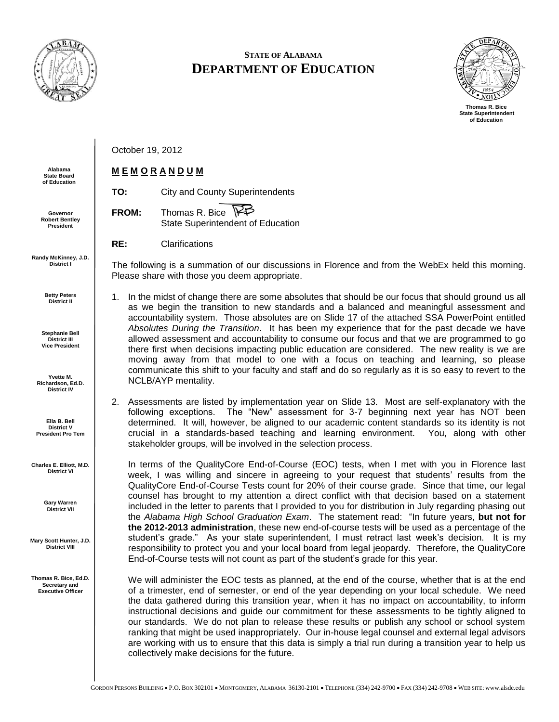

## **STATE OF ALABAMA DEPARTMENT OF EDUCATION**



October 19, 2012

## **M E M O R A N D U M**

**TO:** City and County Superintendents ⊯ **FROM:** Thomas R. Bice State Superintendent of Education

**RE:** Clarifications

The following is a summation of our discussions in Florence and from the WebEx held this morning. Please share with those you deem appropriate.

1. In the midst of change there are some absolutes that should be our focus that should ground us all as we begin the transition to new standards and a balanced and meaningful assessment and accountability system. Those absolutes are on Slide 17 of the attached SSA PowerPoint entitled *Absolutes During the Transition*. It has been my experience that for the past decade we have allowed assessment and accountability to consume our focus and that we are programmed to go there first when decisions impacting public education are considered. The new reality is we are moving away from that model to one with a focus on teaching and learning, so please communicate this shift to your faculty and staff and do so regularly as it is so easy to revert to the NCLB/AYP mentality.

2. Assessments are listed by implementation year on Slide 13. Most are self-explanatory with the following exceptions. The "New" assessment for 3-7 beginning next year has NOT been determined. It will, however, be aligned to our academic content standards so its identity is not crucial in a standards-based teaching and learning environment. You, along with other stakeholder groups, will be involved in the selection process.

In terms of the QualityCore End-of-Course (EOC) tests, when I met with you in Florence last week, I was willing and sincere in agreeing to your request that students' results from the QualityCore End-of-Course Tests count for 20% of their course grade. Since that time, our legal counsel has brought to my attention a direct conflict with that decision based on a statement included in the letter to parents that I provided to you for distribution in July regarding phasing out the *Alabama High School Graduation Exam*. The statement read: "In future years, **but not for the 2012-2013 administration**, these new end-of-course tests will be used as a percentage of the student's grade." As your state superintendent, I must retract last week's decision. It is my responsibility to protect you and your local board from legal jeopardy. Therefore, the QualityCore End-of-Course tests will not count as part of the student's grade for this year.

We will administer the EOC tests as planned, at the end of the course, whether that is at the end of a trimester, end of semester, or end of the year depending on your local schedule. We need the data gathered during this transition year, when it has no impact on accountability, to inform instructional decisions and guide our commitment for these assessments to be tightly aligned to our standards. We do not plan to release these results or publish any school or school system ranking that might be used inappropriately. Our in-house legal counsel and external legal advisors are working with us to ensure that this data is simply a trial run during a transition year to help us collectively make decisions for the future.

**Alabama State Board of Education**

**Governor Robert Bentley President**

**Randy McKinney, J.D. District I**

> **Betty Peters District II**

**Stephanie Bell District III Vice President**

**Yvette M. Richardson, Ed.D. District IV**

**Ella B. Bell District V President Pro Tem**

**Charles E. Elliott, M.D. District VI**

> **Gary Warren District VII**

**Mary Scott Hunter, J.D. District VIII**

**Thomas R. Bice, Ed.D. Secretary and Executive Officer**